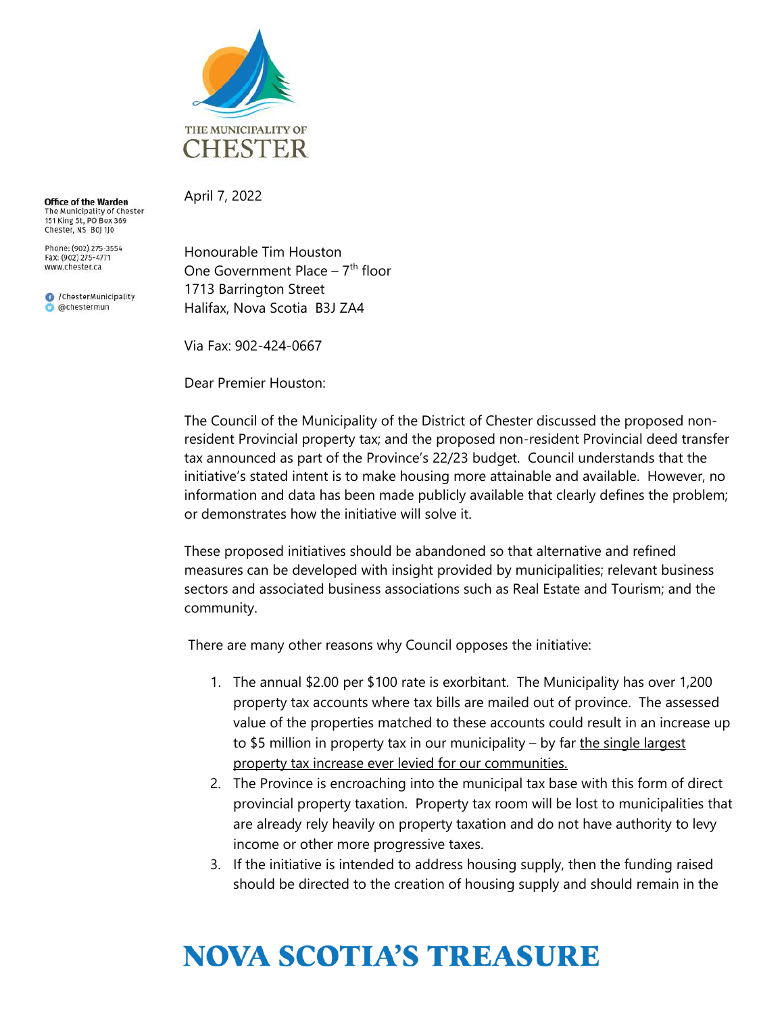

**Office of the Warden** The Municipality of Chester<br>151 King St, PO Box 369 Chester, NS B0J 1J0

Phone: (902) 275-3554 Fax: (902) 275-4771 www.chester.ca

C /ChesterMunicipality achestermun

April 7, 2022

Honourable Tim Houston One Government Place –  $7<sup>th</sup>$  floor 1713 Barrington Street Halifax, Nova Scotia B3J ZA4

Via Fax: 902-424-0667

Dear Premier Houston:

The Council of the Municipality of the District of Chester discussed the proposed nonresident Provincial property tax; and the proposed non-resident Provincial deed transfer tax announced as part of the Province's 22/23 budget. Council understands that the initiative's stated intent is to make housing more attainable and available. However, no information and data has been made publicly available that clearly defines the problem; or demonstrates how the initiative will solve it.

These proposed initiatives should be abandoned so that alternative and refined measures can be developed with insight provided by municipalities; relevant business sectors and associated business associations such as Real Estate and Tourism; and the community.

There are many other reasons why Council opposes the initiative:

- 1. The annual \$2.00 per \$100 rate is exorbitant. The Municipality has over 1,200 property tax accounts where tax bills are mailed out of province. The assessed value of the properties matched to these accounts could result in an increase up to \$5 million in property tax in our municipality  $-$  by far the single largest property tax increase ever levied for our communities.
- 2. The Province is encroaching into the municipal tax base with this form of direct provincial property taxation. Property tax room will be lost to municipalities that are already rely heavily on property taxation and do not have authority to levy income or other more progressive taxes.
- 3. If the initiative is intended to address housing supply, then the funding raised should be directed to the creation of housing supply and should remain in the

## **NOVA SCOTIA'S TREASURE**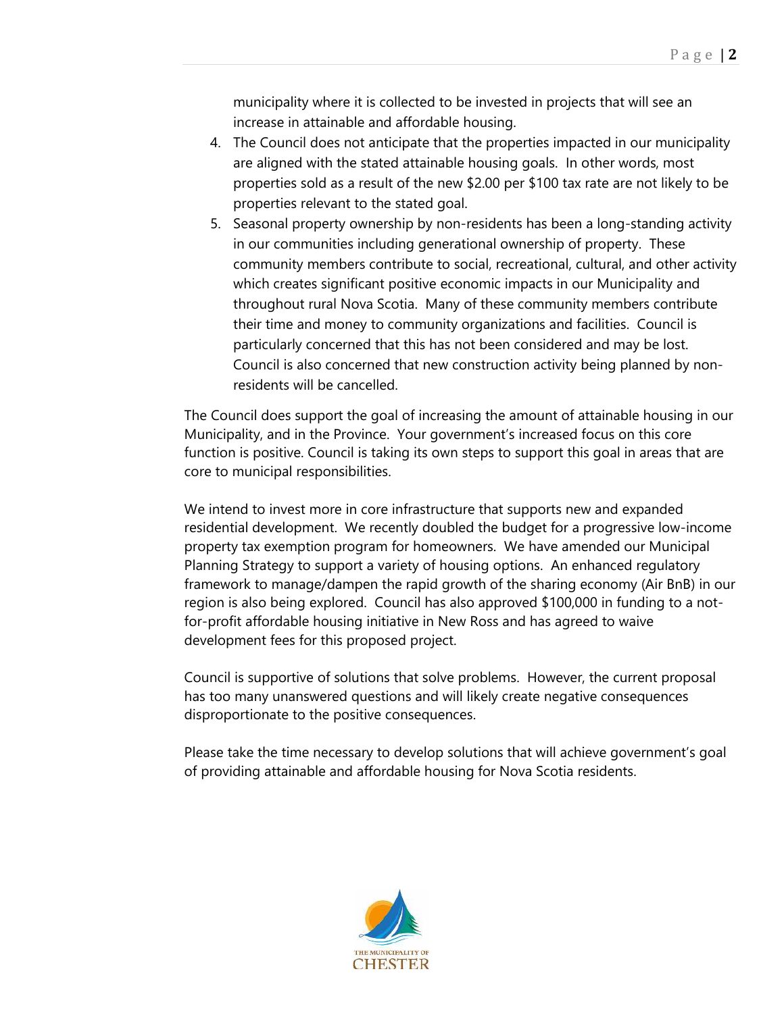municipality where it is collected to be invested in projects that will see an increase in attainable and affordable housing.

- 4. The Council does not anticipate that the properties impacted in our municipality are aligned with the stated attainable housing goals. In other words, most properties sold as a result of the new \$2.00 per \$100 tax rate are not likely to be properties relevant to the stated goal.
- 5. Seasonal property ownership by non-residents has been a long-standing activity in our communities including generational ownership of property. These community members contribute to social, recreational, cultural, and other activity which creates significant positive economic impacts in our Municipality and throughout rural Nova Scotia. Many of these community members contribute their time and money to community organizations and facilities. Council is particularly concerned that this has not been considered and may be lost. Council is also concerned that new construction activity being planned by nonresidents will be cancelled.

The Council does support the goal of increasing the amount of attainable housing in our Municipality, and in the Province. Your government's increased focus on this core function is positive. Council is taking its own steps to support this goal in areas that are core to municipal responsibilities.

We intend to invest more in core infrastructure that supports new and expanded residential development. We recently doubled the budget for a progressive low-income property tax exemption program for homeowners. We have amended our Municipal Planning Strategy to support a variety of housing options. An enhanced regulatory framework to manage/dampen the rapid growth of the sharing economy (Air BnB) in our region is also being explored. Council has also approved \$100,000 in funding to a notfor-profit affordable housing initiative in New Ross and has agreed to waive development fees for this proposed project.

Council is supportive of solutions that solve problems. However, the current proposal has too many unanswered questions and will likely create negative consequences disproportionate to the positive consequences.

Please take the time necessary to develop solutions that will achieve government's goal of providing attainable and affordable housing for Nova Scotia residents.